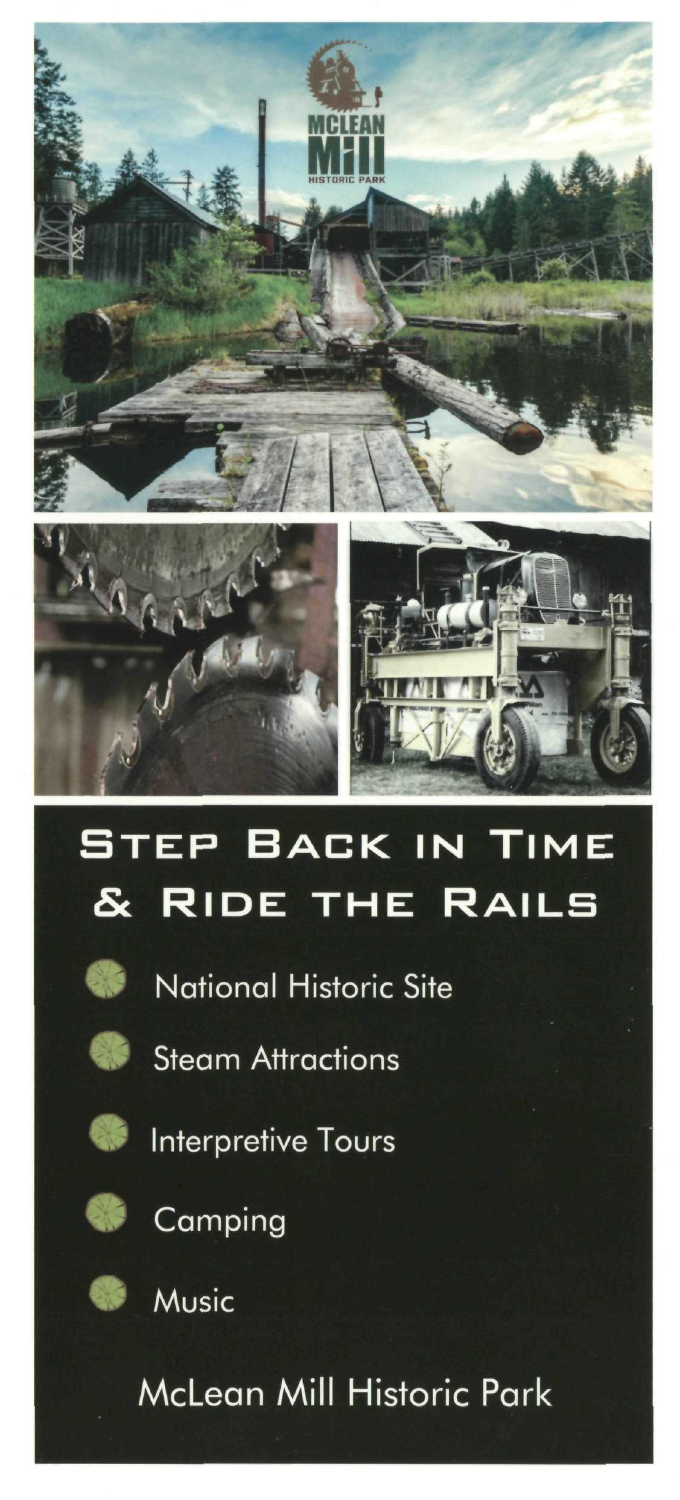





## **STEP BACK IN TIME & RIDE THE RAILS**



**National Historic Site** 



**Steam Attractions** 



**Interpretive Tours** 



Camping



**Music** 

McLean Mill Historic Park